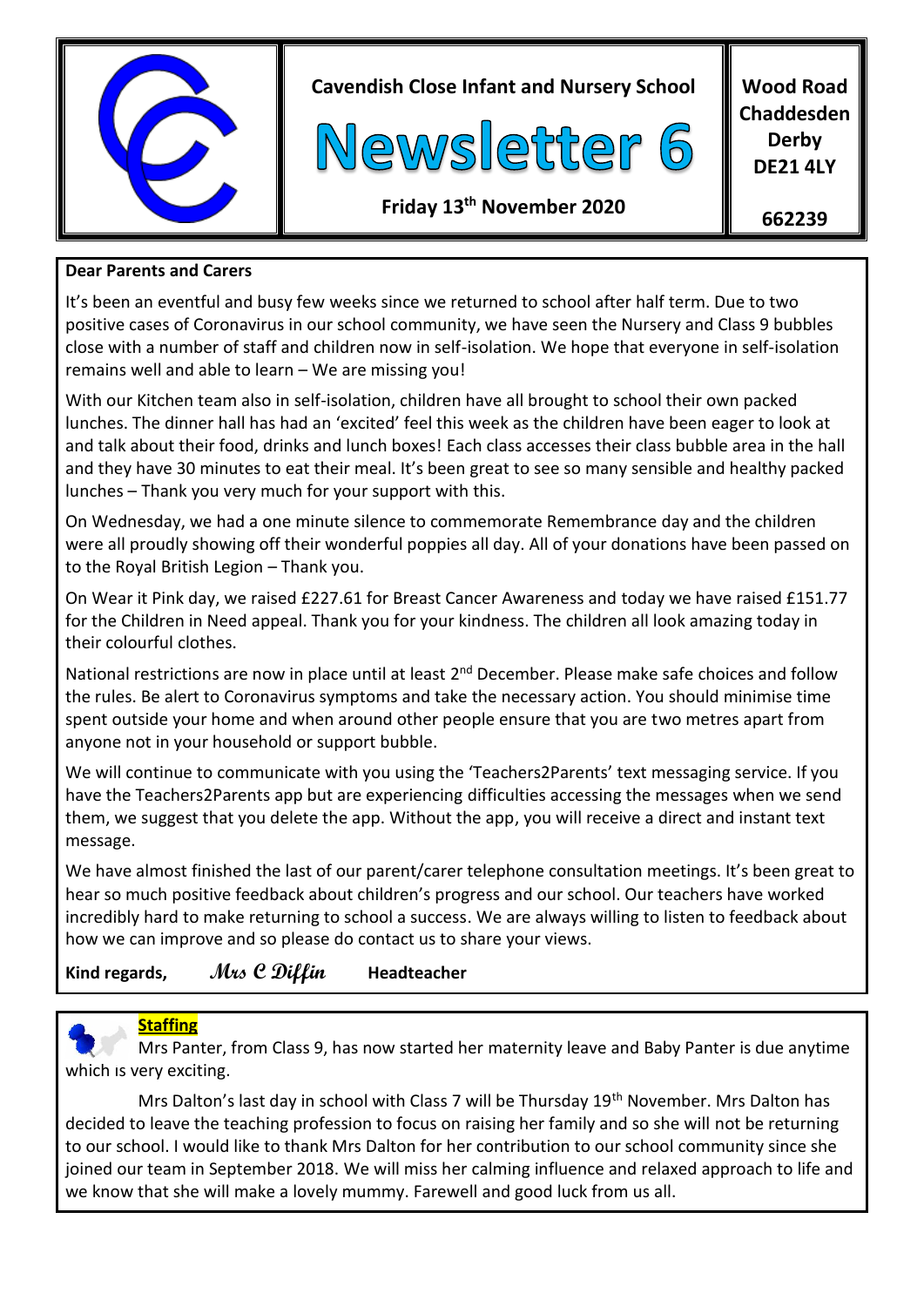

**Wood Road Chaddesden Derby DE21 4LY**

**662239**

### **Dear Parents and Carers**

It's been an eventful and busy few weeks since we returned to school after half term. Due to two positive cases of Coronavirus in our school community, we have seen the Nursery and Class 9 bubbles close with a number of staff and children now in self-isolation. We hope that everyone in self-isolation remains well and able to learn – We are missing you!

With our Kitchen team also in self-isolation, children have all brought to school their own packed lunches. The dinner hall has had an 'excited' feel this week as the children have been eager to look at and talk about their food, drinks and lunch boxes! Each class accesses their class bubble area in the hall and they have 30 minutes to eat their meal. It's been great to see so many sensible and healthy packed lunches – Thank you very much for your support with this.

On Wednesday, we had a one minute silence to commemorate Remembrance day and the children were all proudly showing off their wonderful poppies all day. All of your donations have been passed on to the Royal British Legion – Thank you.

On Wear it Pink day, we raised £227.61 for Breast Cancer Awareness and today we have raised £151.77 for the Children in Need appeal. Thank you for your kindness. The children all look amazing today in their colourful clothes.

National restrictions are now in place until at least 2<sup>nd</sup> December. Please make safe choices and follow the rules. Be alert to Coronavirus symptoms and take the necessary action. You should minimise time spent outside your home and when around other people ensure that you are two metres apart from anyone not in your household or support bubble.

We will continue to communicate with you using the 'Teachers2Parents' text messaging service. If you have the Teachers2Parents app but are experiencing difficulties accessing the messages when we send them, we suggest that you delete the app. Without the app, you will receive a direct and instant text message.

We have almost finished the last of our parent/carer telephone consultation meetings. It's been great to hear so much positive feedback about children's progress and our school. Our teachers have worked incredibly hard to make returning to school a success. We are always willing to listen to feedback about how we can improve and so please do contact us to share your views.

**Kind regards, Mrs C Diffin Headteacher**

## **Staffing**

 Mrs Panter, from Class 9, has now started her maternity leave and Baby Panter is due anytime which is very exciting.

Mrs Dalton's last day in school with Class 7 will be Thursday 19<sup>th</sup> November. Mrs Dalton has decided to leave the teaching profession to focus on raising her family and so she will not be returning to our school. I would like to thank Mrs Dalton for her contribution to our school community since she joined our team in September 2018. We will miss her calming influence and relaxed approach to life and we know that she will make a lovely mummy. Farewell and good luck from us all.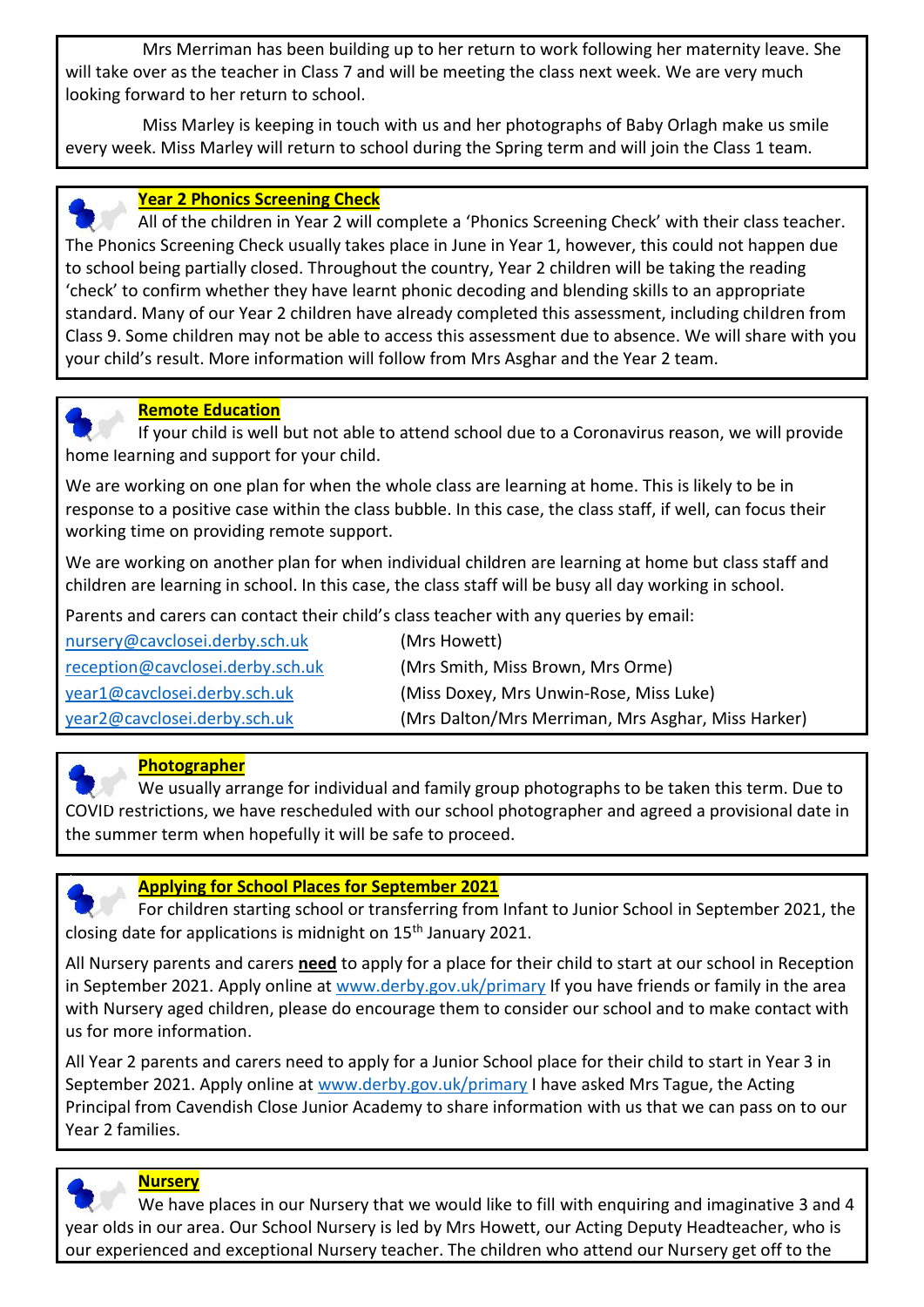Mrs Merriman has been building up to her return to work following her maternity leave. She will take over as the teacher in Class 7 and will be meeting the class next week. We are very much looking forward to her return to school.

 Miss Marley is keeping in touch with us and her photographs of Baby Orlagh make us smile every week. Miss Marley will return to school during the Spring term and will join the Class 1 team.

## **Year 2 Phonics Screening Check**

 All of the children in Year 2 will complete a 'Phonics Screening Check' with their class teacher. The Phonics Screening Check usually takes place in June in Year 1, however, this could not happen due to school being partially closed. Throughout the country, Year 2 children will be taking the reading 'check' to confirm whether they have learnt phonic decoding and blending skills to an appropriate standard. Many of our Year 2 children have already completed this assessment, including children from Class 9. Some children may not be able to access this assessment due to absence. We will share with you your child's result. More information will follow from Mrs Asghar and the Year 2 team.



#### **Remote Education**

 If your child is well but not able to attend school due to a Coronavirus reason, we will provide home learning and support for your child.

We are working on one plan for when the whole class are learning at home. This is likely to be in response to a positive case within the class bubble. In this case, the class staff, if well, can focus their working time on providing remote support.

We are working on another plan for when individual children are learning at home but class staff and children are learning in school. In this case, the class staff will be busy all day working in school.

Parents and carers can contact their child's class teacher with any queries by email:

| nursery@cavclosei.derby.sch.uk   | (Mrs Howett)                                       |
|----------------------------------|----------------------------------------------------|
| reception@cavclosei.derby.sch.uk | (Mrs Smith, Miss Brown, Mrs Orme)                  |
| year1@cavclosei.derby.sch.uk     | (Miss Doxey, Mrs Unwin-Rose, Miss Luke)            |
| year2@cavclosei.derby.sch.uk     | (Mrs Dalton/Mrs Merriman, Mrs Asghar, Miss Harker) |

#### **Photographer**

 We usually arrange for individual and family group photographs to be taken this term. Due to COVID restrictions, we have rescheduled with our school photographer and agreed a provisional date in the summer term when hopefully it will be safe to proceed.



### **Applying for School Places for September 2021**

 For children starting school or transferring from Infant to Junior School in September 2021, the closing date for applications is midnight on 15th January 2021.

All Nursery parents and carers **need** to apply for a place for their child to start at our school in Reception in September 2021. Apply online at [www.derby.gov.uk/primary](http://www.derby.gov.uk/primary) If you have friends or family in the area with Nursery aged children, please do encourage them to consider our school and to make contact with us for more information.

All Year 2 parents and carers need to apply for a Junior School place for their child to start in Year 3 in September 2021. Apply online at [www.derby.gov.uk/primary](http://www.derby.gov.uk/primary) I have asked Mrs Tague, the Acting Principal from Cavendish Close Junior Academy to share information with us that we can pass on to our Year 2 families.



#### **Nursery**

 We have places in our Nursery that we would like to fill with enquiring and imaginative 3 and 4 year olds in our area. Our School Nursery is led by Mrs Howett, our Acting Deputy Headteacher, who is our experienced and exceptional Nursery teacher. The children who attend our Nursery get off to the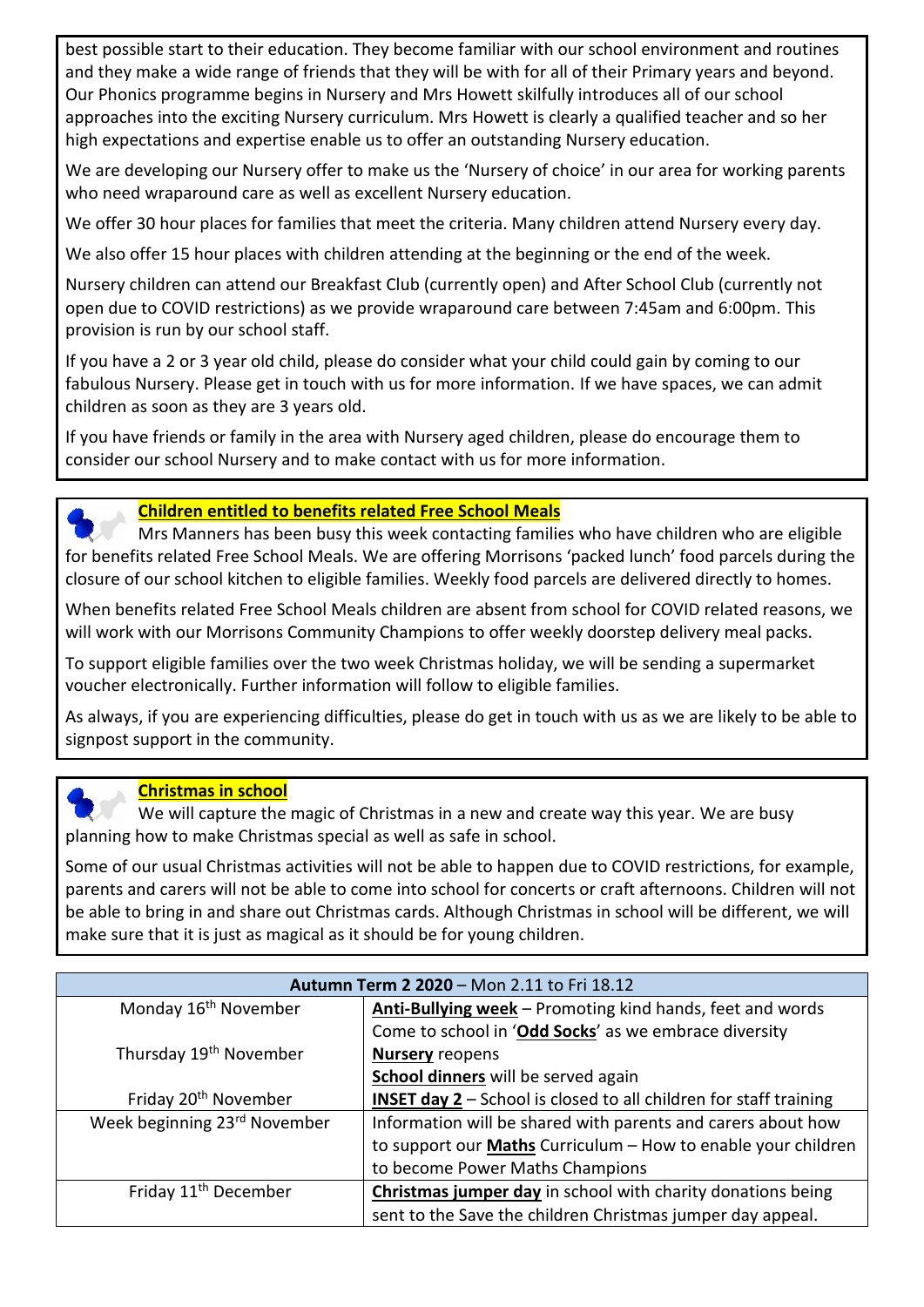best possible start to their education. They become familiar with our school environment and routines and they make a wide range of friends that they will be with for all of their Primary years and beyond. Our Phonics programme begins in Nursery and Mrs Howett skilfully introduces all of our school approaches into the exciting Nursery curriculum. Mrs Howett is clearly a qualified teacher and so her high expectations and expertise enable us to offer an outstanding Nursery education.

We are developing our Nursery offer to make us the 'Nursery of choice' in our area for working parents who need wraparound care as well as excellent Nursery education.

We offer 30 hour places for families that meet the criteria. Many children attend Nursery every day.

We also offer 15 hour places with children attending at the beginning or the end of the week.

Nursery children can attend our Breakfast Club (currently open) and After School Club (currently not open due to COVID restrictions) as we provide wraparound care between 7:45am and 6:00pm. This provision is run by our school staff.

If you have a 2 or 3 year old child, please do consider what your child could gain by coming to our fabulous Nursery. Please get in touch with us for more information. If we have spaces, we can admit children as soon as they are 3 years old.

If you have friends or family in the area with Nursery aged children, please do encourage them to consider our school Nursery and to make contact with us for more information.



## **Children entitled to benefits related Free School Meals**

 Mrs Manners has been busy this week contacting families who have children who are eligible for benefits related Free School Meals. We are offering Morrisons 'packed lunch' food parcels during the closure of our school kitchen to eligible families. Weekly food parcels are delivered directly to homes.

When benefits related Free School Meals children are absent from school for COVID related reasons, we will work with our Morrisons Community Champions to offer weekly doorstep delivery meal packs.

To support eligible families over the two week Christmas holiday, we will be sending a supermarket voucher electronically. Further information will follow to eligible families.

As always, if you are experiencing difficulties, please do get in touch with us as we are likely to be able to signpost support in the community.

# **Christmas in school**

 We will capture the magic of Christmas in a new and create way this year. We are busy planning how to make Christmas special as well as safe in school.

Some of our usual Christmas activities will not be able to happen due to COVID restrictions, for example, parents and carers will not be able to come into school for concerts or craft afternoons. Children will not be able to bring in and share out Christmas cards. Although Christmas in school will be different, we will make sure that it is just as magical as it should be for young children.

| Autumn Term 2 2020 - Mon 2.11 to Fri 18.12 |                                                                            |
|--------------------------------------------|----------------------------------------------------------------------------|
| Monday 16 <sup>th</sup> November           | Anti-Bullying week - Promoting kind hands, feet and words                  |
|                                            | Come to school in 'Odd Socks' as we embrace diversity                      |
| Thursday 19 <sup>th</sup> November         | <b>Nursery reopens</b>                                                     |
|                                            | <b>School dinners</b> will be served again                                 |
| Friday 20 <sup>th</sup> November           | <b>INSET day 2</b> $-$ School is closed to all children for staff training |
| Week beginning 23rd November               | Information will be shared with parents and carers about how               |
|                                            | to support our <b>Maths</b> Curriculum - How to enable your children       |
|                                            | to become Power Maths Champions                                            |
| Friday 11 <sup>th</sup> December           | <b>Christmas jumper day</b> in school with charity donations being         |
|                                            | sent to the Save the children Christmas jumper day appeal.                 |